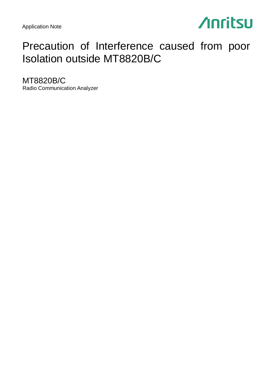

## Precaution of Interference caused from poor Isolation outside MT8820B/C

MT8820B/C Radio Communication Analyzer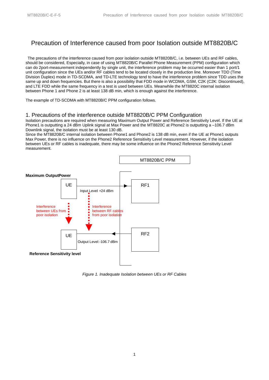## Precaution of Interference caused from poor Isolation outside MT8820B/C

The precautions of the interference caused from poor isolation outside MT8820B/C, i.e. between UEs and RF cables, should be considered, Especially, in case of using MT8820B/C Parallel Phone Measurement (PPM) configuration which can do 2port-measurement independently by single unit, the interference problem may be occurred easier than 1 port/1 unit configuration since the UEs and/or RF cables tend to be located closely in the production line. Moreover TDD (Time Division Duplex) mode in TD-SCDMA, and TD-LTE technology tend to have the interference problem since TDD uses the same up and down frequencies. But there is also a possibility that FDD mode in WCDMA, GSM, C2K (C2K: Discontinued), and LTE FDD while the same frequency in a test is used between UEs. Meanwhile the MT8820C internal isolation between Phone 1 and Phone 2 is at least 138 dB min, which is enough against the interference.

The example of TD-SCDMA with MT8820B/C PPM configuration follows.

## 1. Precautions of the interference outside MT8820B/C PPM Configuration

Isolation precautions are required when measuring Maximum Output Power and Reference Sensitivity Level. If the UE at Phone1 is outputting a 24 dBm Uplink signal at Max Power and the MT8820C at Phone2 is outputting a –106.7 dBm Downlink signal, the isolation must be at least 130 dB.

Since the MT8820B/C internal isolation between Phone1 and Phone2 is 138 dB min, even if the UE at Phone1 outputs Max Power, there is no influence on the Phone2 Reference Sensitivity Level measurement. However, if the isolation between UEs or RF cables is inadequate, there may be some influence on the Phone2 Reference Sensitivity Level measurement.



*Figure 1. Inadequate Isolation between UEs or RF Cables*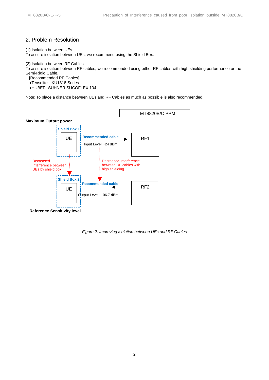## 2. Problem Resolution

### (1) Isolation between UEs

To assure isolation between UEs, we recommend using the Shield Box.

(2) Isolation between RF Cables

To assure isolation between RF cables, we recommended using either RF cables with high shielding performance or the Semi-Rigid Cable.

[Recommended RF Cables]

Tensolite KU1818 Series

HUBER+SUHNER SUCOFLEX 104

Note: To place a distance between UEs and RF Cables as much as possible is also recommended.



*Figure 2. Improving Isolation between UEs and RF Cables*